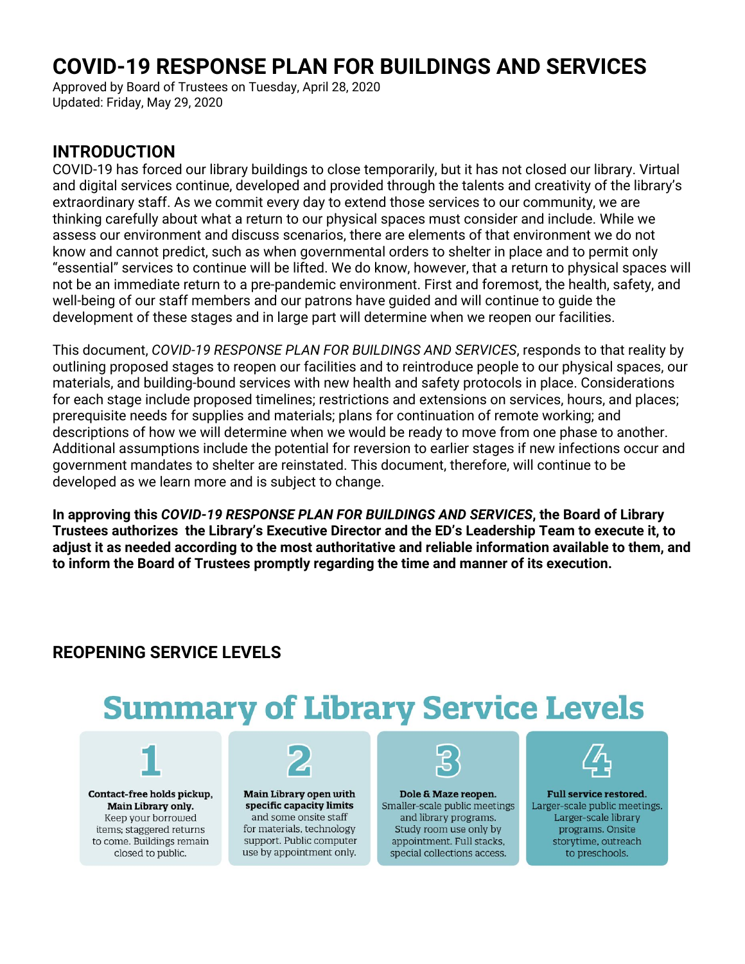# **COVID-19 RESPONSE PLAN FOR BUILDINGS AND SERVICES**

Approved by Board of Trustees on Tuesday, April 28, 2020 Updated: Friday, May 29, 2020

#### **INTRODUCTION**

COVID-19 has forced our library buildings to close temporarily, but it has not closed our library. Virtual and digital services continue, developed and provided through the talents and creativity of the library's extraordinary staff. As we commit every day to extend those services to our community, we are thinking carefully about what a return to our physical spaces must consider and include. While we assess our environment and discuss scenarios, there are elements of that environment we do not know and cannot predict, such as when governmental orders to shelter in place and to permit only "essential" services to continue will be lifted. We do know, however, that a return to physical spaces will not be an immediate return to a pre-pandemic environment. First and foremost, the health, safety, and well-being of our staff members and our patrons have guided and will continue to guide the development of these stages and in large part will determine when we reopen our facilities.

This document, *COVID-19 RESPONSE PLAN FOR BUILDINGS AND SERVICES*, responds to that reality by outlining proposed stages to reopen our facilities and to reintroduce people to our physical spaces, our materials, and building-bound services with new health and safety protocols in place. Considerations for each stage include proposed timelines; restrictions and extensions on services, hours, and places; prerequisite needs for supplies and materials; plans for continuation of remote working; and descriptions of how we will determine when we would be ready to move from one phase to another. Additional assumptions include the potential for reversion to earlier stages if new infections occur and government mandates to shelter are reinstated. This document, therefore, will continue to be developed as we learn more and is subject to change.

**In approving this** *COVID-19 RESPONSE PLAN FOR BUILDINGS AND SERVICES***, the Board of Library Trustees authorizes the Library's Executive Director and the ED's Leadership Team to execute it, to adjust it as needed according to the most authoritative and reliable information available to them, and to inform the Board of Trustees promptly regarding the time and manner of its execution.**

# **REOPENING SERVICE LEVELS**

# **Summary of Library Service Levels**



Contact-free holds pickup, Main Library only. Keep your borrowed items; staggered returns to come. Buildings remain closed to public.



Main Library open with specific capacity limits and some onsite staff for materials, technology support. Public computer use by appointment only.



Dole & Maze reopen. Smaller-scale public meetings and library programs. Study room use only by appointment. Full stacks, special collections access.



**Full service restored.** Larger-scale public meetings. Larger-scale library programs. Onsite storytime, outreach to preschools.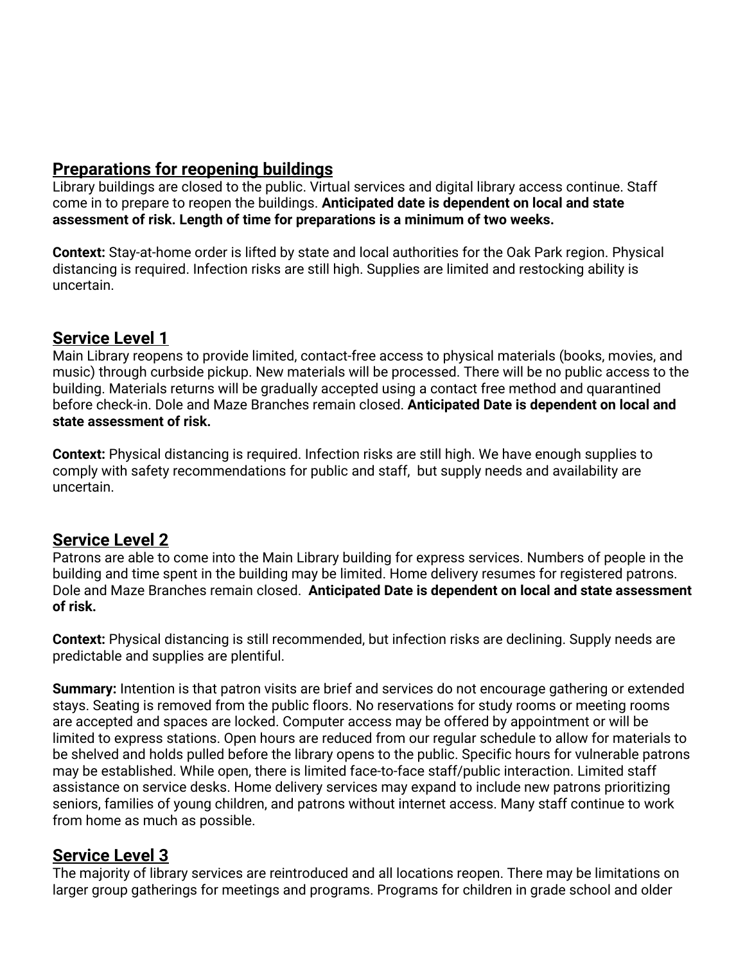## **Preparations for reopening buildings**

Library buildings are closed to the public. Virtual services and digital library access continue. Staff come in to prepare to reopen the buildings. **Anticipated date is dependent on local and state assessment of risk. Length of time for preparations is a minimum of two weeks.**

**Context:** Stay-at-home order is lifted by state and local authorities for the Oak Park region. Physical distancing is required. Infection risks are still high. Supplies are limited and restocking ability is uncertain.

#### **Service Level 1**

Main Library reopens to provide limited, contact-free access to physical materials (books, movies, and music) through curbside pickup. New materials will be processed. There will be no public access to the building. Materials returns will be gradually accepted using a contact free method and quarantined before check-in. Dole and Maze Branches remain closed. **Anticipated Date is dependent on local and state assessment of risk.**

**Context:** Physical distancing is required. Infection risks are still high. We have enough supplies to comply with safety recommendations for public and staff, but supply needs and availability are uncertain.

### **Service Level 2**

Patrons are able to come into the Main Library building for express services. Numbers of people in the building and time spent in the building may be limited. Home delivery resumes for registered patrons. Dole and Maze Branches remain closed. **Anticipated Date is dependent on local and state assessment of risk.**

**Context:** Physical distancing is still recommended, but infection risks are declining. Supply needs are predictable and supplies are plentiful.

**Summary:** Intention is that patron visits are brief and services do not encourage gathering or extended stays. Seating is removed from the public floors. No reservations for study rooms or meeting rooms are accepted and spaces are locked. Computer access may be offered by appointment or will be limited to express stations. Open hours are reduced from our regular schedule to allow for materials to be shelved and holds pulled before the library opens to the public. Specific hours for vulnerable patrons may be established. While open, there is limited face-to-face staff/public interaction. Limited staff assistance on service desks. Home delivery services may expand to include new patrons prioritizing seniors, families of young children, and patrons without internet access. Many staff continue to work from home as much as possible.

### **Service Level 3**

The majority of library services are reintroduced and all locations reopen. There may be limitations on larger group gatherings for meetings and programs. Programs for children in grade school and older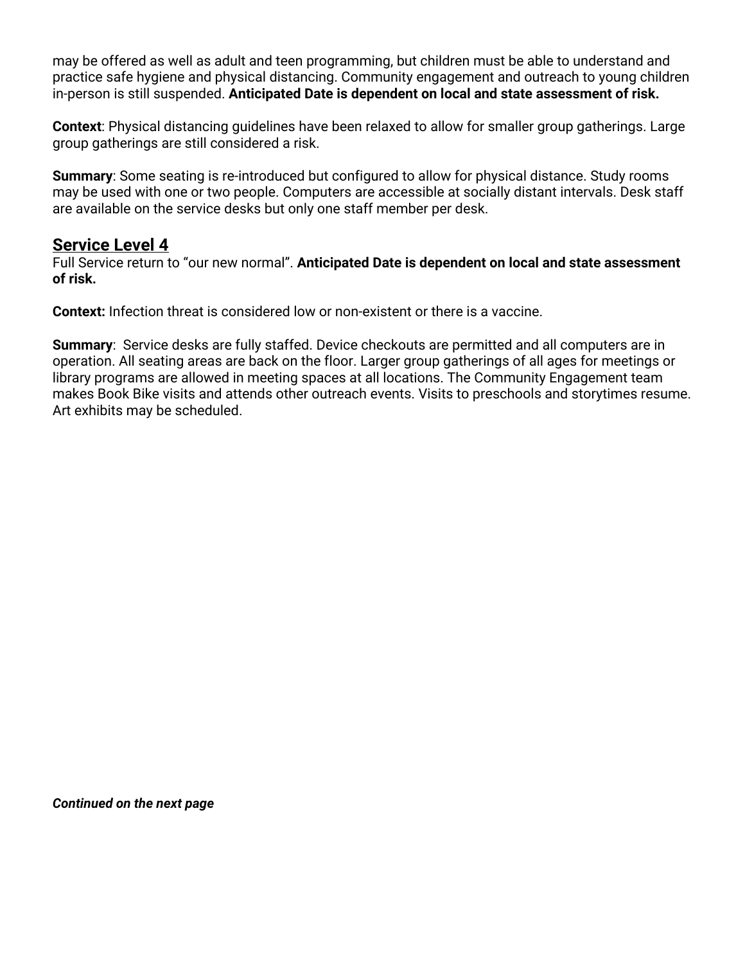may be offered as well as adult and teen programming, but children must be able to understand and practice safe hygiene and physical distancing. Community engagement and outreach to young children in-person is still suspended. **Anticipated Date is dependent on local and state assessment of risk.**

**Context**: Physical distancing guidelines have been relaxed to allow for smaller group gatherings. Large group gatherings are still considered a risk.

**Summary**: Some seating is re-introduced but configured to allow for physical distance. Study rooms may be used with one or two people. Computers are accessible at socially distant intervals. Desk staff are available on the service desks but only one staff member per desk.

#### **Service Level 4**

Full Service return to "our new normal". **Anticipated Date is dependent on local and state assessment of risk.**

**Context:** Infection threat is considered low or non-existent or there is a vaccine.

**Summary**: Service desks are fully staffed. Device checkouts are permitted and all computers are in operation. All seating areas are back on the floor. Larger group gatherings of all ages for meetings or library programs are allowed in meeting spaces at all locations. The Community Engagement team makes Book Bike visits and attends other outreach events. Visits to preschools and storytimes resume. Art exhibits may be scheduled.

*Continued on the next page*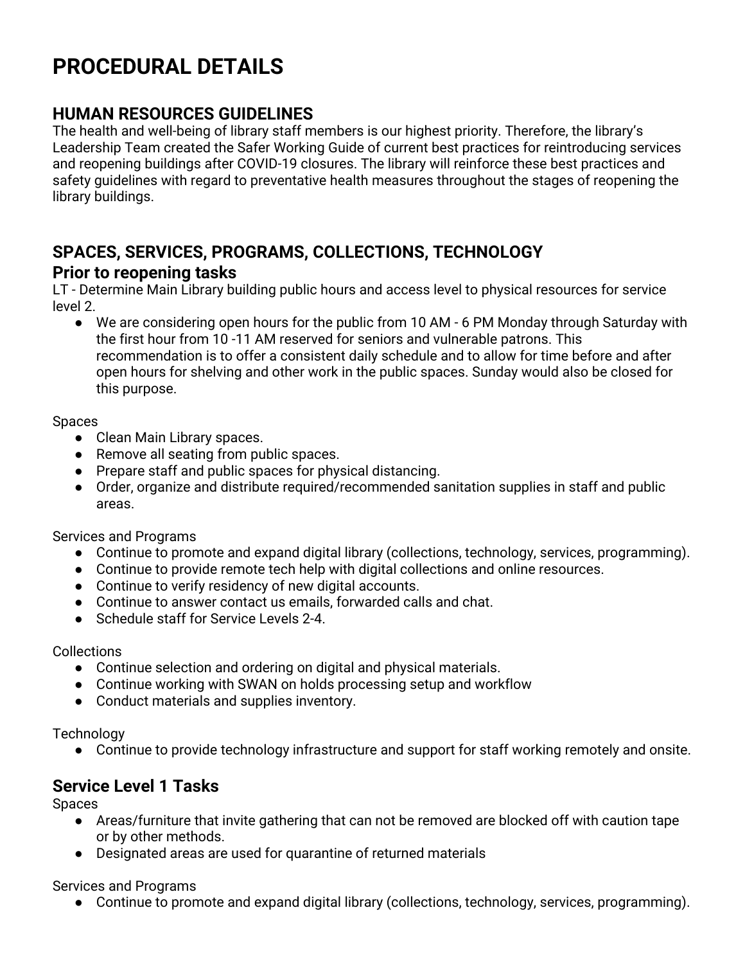# **PROCEDURAL DETAILS**

### **HUMAN RESOURCES GUIDELINES**

The health and well-being of library staff members is our highest priority. Therefore, the library's Leadership Team created the Safer Working Guide of current best practices for reintroducing services and reopening buildings after COVID-19 closures. The library will reinforce these best practices and safety guidelines with regard to preventative health measures throughout the stages of reopening the library buildings.

#### **SPACES, SERVICES, PROGRAMS, COLLECTIONS, TECHNOLOGY Prior to reopening tasks**

LT - Determine Main Library building public hours and access level to physical resources for service level 2.

● We are considering open hours for the public from 10 AM - 6 PM Monday through Saturday with the first hour from 10 -11 AM reserved for seniors and vulnerable patrons. This recommendation is to offer a consistent daily schedule and to allow for time before and after open hours for shelving and other work in the public spaces. Sunday would also be closed for this purpose.

#### Spaces

- Clean Main Library spaces.
- Remove all seating from public spaces.
- Prepare staff and public spaces for physical distancing.
- Order, organize and distribute required/recommended sanitation supplies in staff and public areas.

Services and Programs

- Continue to promote and expand digital library (collections, technology, services, programming).
- Continue to provide remote tech help with digital collections and online resources.
- Continue to verify residency of new digital accounts.
- Continue to answer contact us emails, forwarded calls and chat.
- Schedule staff for Service Levels 2-4.

**Collections** 

- Continue selection and ordering on digital and physical materials.
- Continue working with SWAN on holds processing setup and workflow
- Conduct materials and supplies inventory.

**Technology** 

● Continue to provide technology infrastructure and support for staff working remotely and onsite.

# **Service Level 1 Tasks**

Spaces

- Areas/furniture that invite gathering that can not be removed are blocked off with caution tape or by other methods.
- Designated areas are used for quarantine of returned materials

Services and Programs

● Continue to promote and expand digital library (collections, technology, services, programming).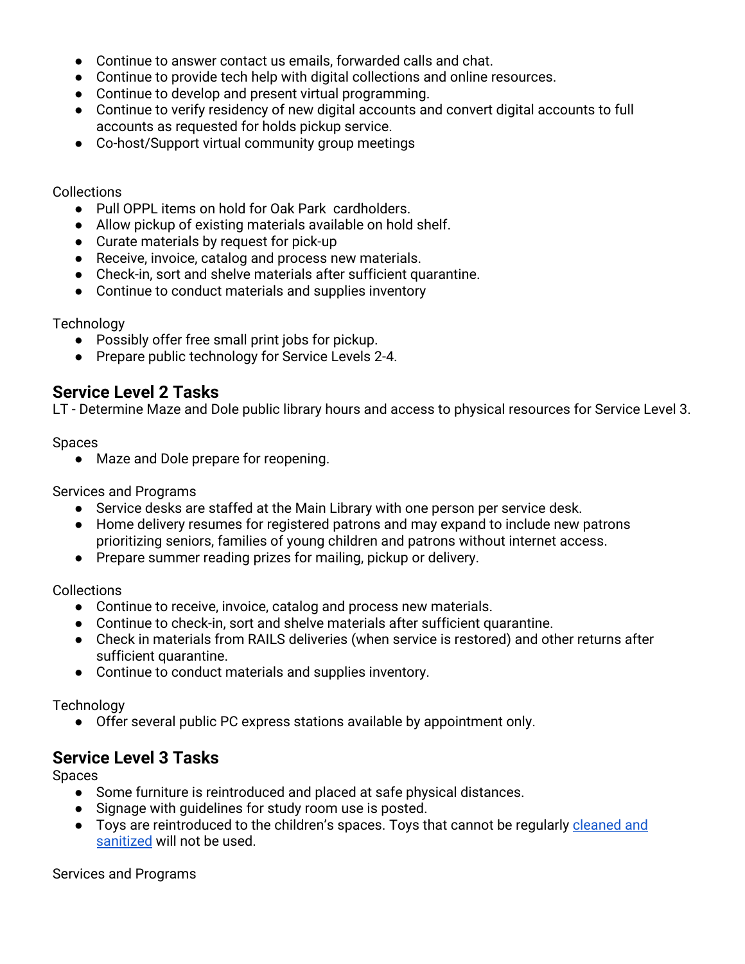- Continue to answer contact us emails, forwarded calls and chat.
- Continue to provide tech help with digital collections and online resources.
- Continue to develop and present virtual programming.
- Continue to verify residency of new digital accounts and convert digital accounts to full accounts as requested for holds pickup service.
- Co-host/Support virtual community group meetings

#### Collections

- Pull OPPL items on hold for Oak Park cardholders.
- Allow pickup of existing materials available on hold shelf.
- Curate materials by request for pick-up
- Receive, invoice, catalog and process new materials.
- Check-in, sort and shelve materials after sufficient quarantine.
- Continue to conduct materials and supplies inventory

#### **Technology**

- Possibly offer free small print jobs for pickup.
- Prepare public technology for Service Levels 2-4.

## **Service Level 2 Tasks**

LT - Determine Maze and Dole public library hours and access to physical resources for Service Level 3.

Spaces

● Maze and Dole prepare for reopening.

Services and Programs

- Service desks are staffed at the Main Library with one person per service desk.
- Home delivery resumes for registered patrons and may expand to include new patrons prioritizing seniors, families of young children and patrons without internet access.
- Prepare summer reading prizes for mailing, pickup or delivery.

Collections

- Continue to receive, invoice, catalog and process new materials.
- Continue to check-in, sort and shelve materials after sufficient quarantine.
- Check in materials from RAILS deliveries (when service is restored) and other returns after sufficient quarantine.
- Continue to conduct materials and supplies inventory.

**Technology** 

● Offer several public PC express stations available by appointment only.

# **Service Level 3 Tasks**

Spaces

- Some furniture is reintroduced and placed at safe physical distances.
- Signage with guidelines for study room use is posted.
- Toys are reintroduced to the children's spaces. Toys that cannot be regularly [cleaned](https://nrckids.org/CFOC/Database/3.3) and [sanitized](https://nrckids.org/CFOC/Database/3.3) will not be used.

Services and Programs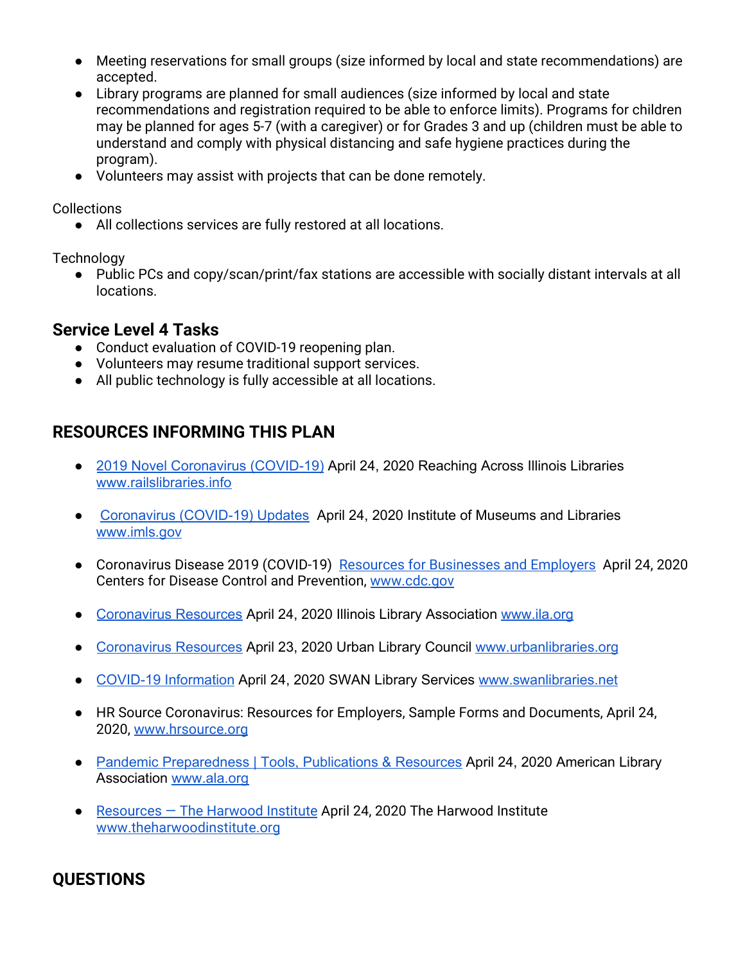- Meeting reservations for small groups (size informed by local and state recommendations) are accepted.
- Library programs are planned for small audiences (size informed by local and state recommendations and registration required to be able to enforce limits). Programs for children may be planned for ages 5-7 (with a caregiver) or for Grades 3 and up (children must be able to understand and comply with physical distancing and safe hygiene practices during the program).
- Volunteers may assist with projects that can be done remotely.

Collections

● All collections services are fully restored at all locations.

**Technology** 

● Public PCs and copy/scan/print/fax stations are accessible with socially distant intervals at all locations.

#### **Service Level 4 Tasks**

- Conduct evaluation of COVID-19 reopening plan.
- Volunteers may resume traditional support services.
- All public technology is fully accessible at all locations.

### **RESOURCES INFORMING THIS PLAN**

- 2019 Novel [Coronavirus](https://www.railslibraries.info/issues/178451) (COVID-19) April 24, 2020 Reaching Across Illinois Libraries [www.railslibraries.info](http://www.railslibraries.info/)
- [Coronavirus](https://www.imls.gov/coronavirus-covid-19-updates) (COVID-19) Updates April 24, 2020 Institute of Museums and Libraries [www.imls.gov](http://www.imls.gov/)
- Coronavirus Disease 2019 (COVID-19) Resources for [Businesses](https://www.cdc.gov/coronavirus/2019-ncov/community/organizations/businesses-employers.html) and Employers April 24, 2020 Centers for Disease Control and Prevention, [www.cdc.gov](http://www.cdc.gov/)
- [Coronavirus](https://www.ila.org/advocacy/coronavirus-resources) Resources April 24, 2020 Illinois Library Association [www.ila.org](http://www.ila.org/)
- [Coronavirus](https://www.urbanlibraries.org/member-resources/coronavirus-resources) Resources April 23, 2020 Urban Library Council [www.urbanlibraries.org](http://www.urbanlibraries.org/)
- COVID-19 [Information](https://support.swanlibraries.net/covid-19) April 24, 2020 SWAN Library Services [www.swanlibraries.net](http://www.swanlibraries.net/)
- HR Source Coronavirus: Resources for Employers, Sample Forms and Documents, April 24, 2020, [www.hrsource.org](http://www.hrsource.org/)
- Pandemic [Preparedness](http://www.ala.org/tools/atoz/pandemic-preparedness) | Tools, Publications & Resources April 24, 2020 American Library Association [www.ala.org](http://www.ala.org/)
- [Resources](https://theharwoodinstitute.org/resources) The Harwood Institute April 24, 2020 The Harwood Institute [www.theharwoodinstitute.org](http://www.theharwoodinstitute.org/)

# **QUESTIONS**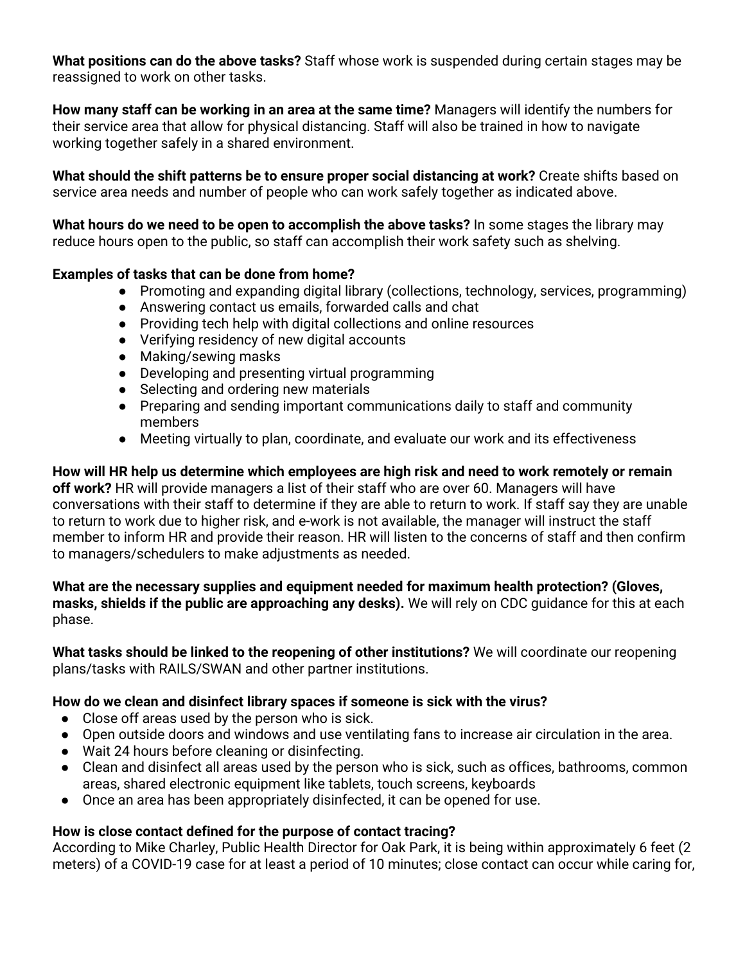**What positions can do the above tasks?** Staff whose work is suspended during certain stages may be reassigned to work on other tasks.

**How many staff can be working in an area at the same time?** Managers will identify the numbers for their service area that allow for physical distancing. Staff will also be trained in how to navigate working together safely in a shared environment.

**What should the shift patterns be to ensure proper social distancing at work?** Create shifts based on service area needs and number of people who can work safely together as indicated above.

**What hours do we need to be open to accomplish the above tasks?** In some stages the library may reduce hours open to the public, so staff can accomplish their work safety such as shelving.

#### **Examples of tasks that can be done from home?**

- Promoting and expanding digital library (collections, technology, services, programming)
- Answering contact us emails, forwarded calls and chat
- Providing tech help with digital collections and online resources
- Verifying residency of new digital accounts
- Making/sewing masks
- Developing and presenting virtual programming
- Selecting and ordering new materials
- Preparing and sending important communications daily to staff and community members
- Meeting virtually to plan, coordinate, and evaluate our work and its effectiveness

**How will HR help us determine which employees are high risk and need to work remotely or remain off work?** HR will provide managers a list of their staff who are over 60. Managers will have conversations with their staff to determine if they are able to return to work. If staff say they are unable to return to work due to higher risk, and e-work is not available, the manager will instruct the staff member to inform HR and provide their reason. HR will listen to the concerns of staff and then confirm to managers/schedulers to make adjustments as needed.

**What are the necessary supplies and equipment needed for maximum health protection? (Gloves, masks, shields if the public are approaching any desks).** We will rely on CDC guidance for this at each phase.

**What tasks should be linked to the reopening of other institutions?** We will coordinate our reopening plans/tasks with RAILS/SWAN and other partner institutions.

#### **How do we clean and disinfect library spaces if someone is sick with the virus?**

- Close off areas used by the person who is sick.
- Open outside doors and windows and use ventilating fans to increase air circulation in the area.
- Wait 24 hours before cleaning or disinfecting.
- Clean and disinfect all areas used by the person who is sick, such as offices, bathrooms, common areas, shared electronic equipment like tablets, touch screens, keyboards
- Once an area has been appropriately disinfected, it can be opened for use.

#### **How is close contact defined for the purpose of contact tracing?**

According to Mike Charley, Public Health Director for Oak Park, it is being within approximately 6 feet (2 meters) of a COVID-19 case for at least a period of 10 minutes; close contact can occur while caring for,